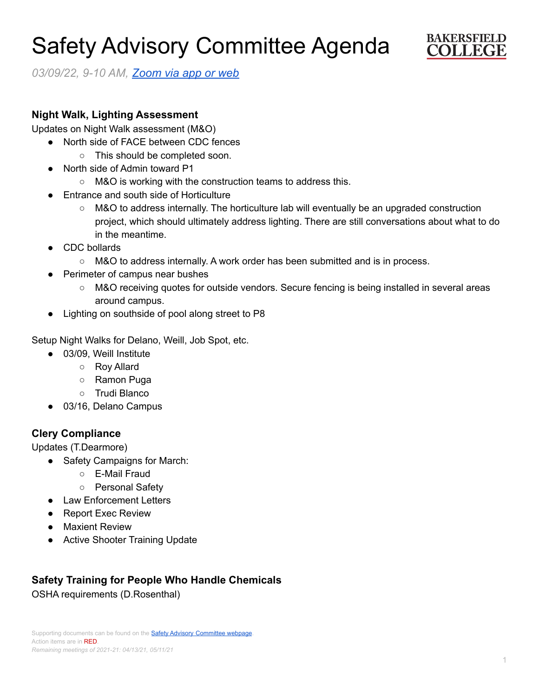# Safety Advisory Committee Agenda



*03/09/22, 9-10 AM, [Zoom](https://cccconfer.zoom.us/j/95588517472?pwd=OTV2dmFlMHN3dWkxRndrem1YL2dQQT09) via app or web*

### **Night Walk, Lighting Assessment**

Updates on Night Walk assessment (M&O)

- North side of FACE between CDC fences
	- This should be completed soon.
- North side of Admin toward P1
	- M&O is working with the construction teams to address this.
- **Entrance and south side of Horticulture** 
	- M&O to address internally. The horticulture lab will eventually be an upgraded construction project, which should ultimately address lighting. There are still conversations about what to do in the meantime.
- CDC bollards
	- M&O to address internally. A work order has been submitted and is in process.
- **Perimeter of campus near bushes** 
	- M&O receiving quotes for outside vendors. Secure fencing is being installed in several areas around campus.
- Lighting on southside of pool along street to P8

Setup Night Walks for Delano, Weill, Job Spot, etc.

- 03/09, Weill Institute
	- Roy Allard
	- Ramon Puga
	- Trudi Blanco
- 03/16, Delano Campus

## **Clery Compliance**

Updates (T.Dearmore)

- Safety Campaigns for March:
	- E-Mail Fraud
	- Personal Safety
- Law Enforcement Letters
- Report Exec Review
- Maxient Review
- Active Shooter Training Update

# **Safety Training for People Who Handle Chemicals**

OSHA requirements (D.Rosenthal)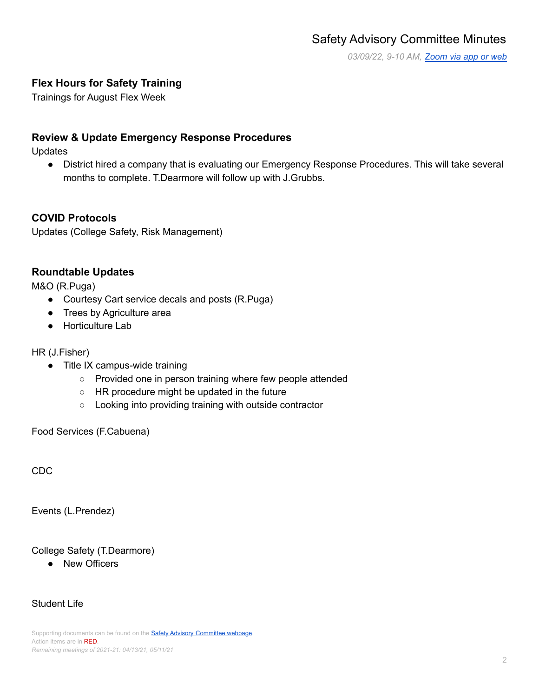*03/09/22, 9-10 AM, [Zoom](https://cccconfer.zoom.us/j/95588517472?pwd=OTV2dmFlMHN3dWkxRndrem1YL2dQQT09) via app or web*

# **Flex Hours for Safety Training**

Trainings for August Flex Week

## **Review & Update Emergency Response Procedures**

Updates

● District hired a company that is evaluating our Emergency Response Procedures. This will take several months to complete. T.Dearmore will follow up with J.Grubbs.

#### **COVID Protocols**

Updates (College Safety, Risk Management)

#### **Roundtable Updates**

M&O (R.Puga)

- Courtesy Cart service decals and posts (R.Puga)
- Trees by Agriculture area
- Horticulture Lab

HR (J.Fisher)

- Title IX campus-wide training
	- Provided one in person training where few people attended
	- HR procedure might be updated in the future
	- Looking into providing training with outside contractor

Food Services (F.Cabuena)

CDC

Events (L.Prendez)

College Safety (T.Dearmore)

● New Officers

#### Student Life